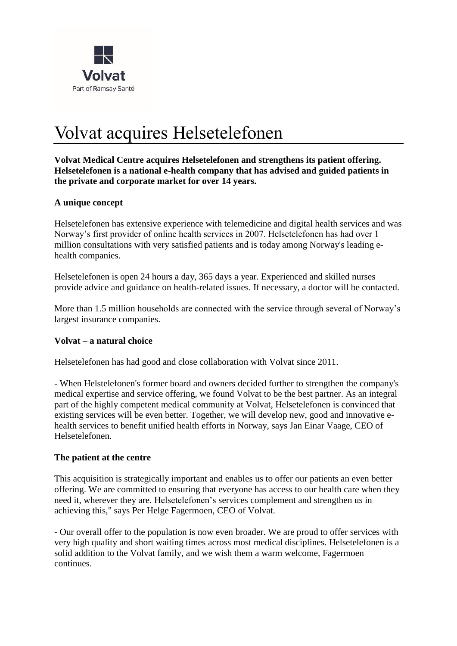

# Volvat acquires Helsetelefonen

**Volvat Medical Centre acquires Helsetelefonen and strengthens its patient offering. Helsetelefonen is a national e-health company that has advised and guided patients in the private and corporate market for over 14 years.**

#### **A unique concept**

Helsetelefonen has extensive experience with telemedicine and digital health services and was Norway's first provider of online health services in 2007. Helsetelefonen has had over 1 million consultations with very satisfied patients and is today among Norway's leading ehealth companies.

Helsetelefonen is open 24 hours a day, 365 days a year. Experienced and skilled nurses provide advice and guidance on health-related issues. If necessary, a doctor will be contacted.

More than 1.5 million households are connected with the service through several of Norway's largest insurance companies.

#### **Volvat – a natural choice**

Helsetelefonen has had good and close collaboration with Volvat since 2011.

- When Helstelefonen's former board and owners decided further to strengthen the company's medical expertise and service offering, we found Volvat to be the best partner. As an integral part of the highly competent medical community at Volvat, Helsetelefonen is convinced that existing services will be even better. Together, we will develop new, good and innovative ehealth services to benefit unified health efforts in Norway, says Jan Einar Vaage, CEO of Helsetelefonen.

#### **The patient at the centre**

This acquisition is strategically important and enables us to offer our patients an even better offering. We are committed to ensuring that everyone has access to our health care when they need it, wherever they are. Helsetelefonen's services complement and strengthen us in achieving this," says Per Helge Fagermoen, CEO of Volvat.

- Our overall offer to the population is now even broader. We are proud to offer services with very high quality and short waiting times across most medical disciplines. Helsetelefonen is a solid addition to the Volvat family, and we wish them a warm welcome, Fagermoen continues.